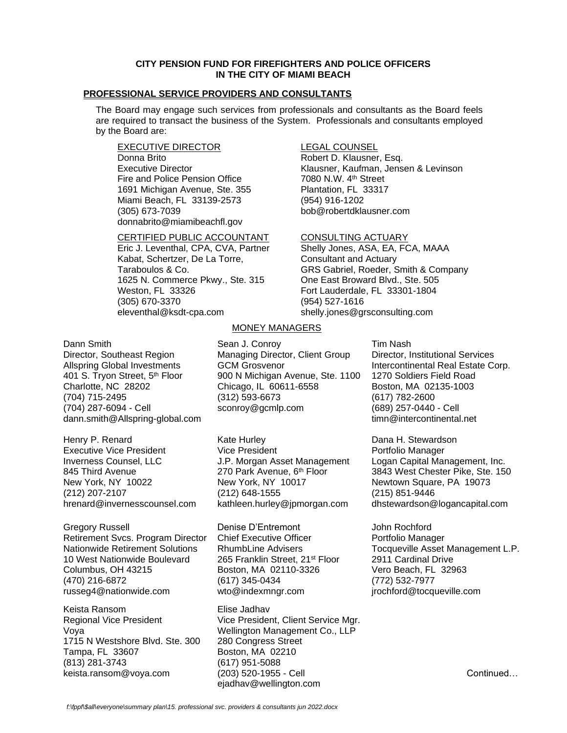## **CITY PENSION FUND FOR FIREFIGHTERS AND POLICE OFFICERS IN THE CITY OF MIAMI BEACH**

# **PROFESSIONAL SERVICE PROVIDERS AND CONSULTANTS**

The Board may engage such services from professionals and consultants as the Board feels are required to transact the business of the System. Professionals and consultants employed by the Board are:

EXECUTIVE DIRECTOR Donna Brito Executive Director Fire and Police Pension Office 1691 Michigan Avenue, Ste. 355 Miami Beach, FL 33139-2573 (305) 673-7039 donnabrito@miamibeachfl.gov

### CERTIFIED PUBLIC ACCOUNTANT

Eric J. Leventhal, CPA, CVA, Partner Kabat, Schertzer, De La Torre, Taraboulos & Co. 1625 N. Commerce Pkwy., Ste. 315 Weston, FL 33326 (305) 670-3370 eleventhal@ksdt-cpa.com

# LEGAL COUNSEL

Robert D. Klausner, Esq. Klausner, Kaufman, Jensen & Levinson 7080 N.W. 4th Street Plantation, FL 33317 (954) 916-1202 bob@robertdklausner.com

### CONSULTING ACTUARY

Shelly Jones, ASA, EA, FCA, MAAA Consultant and Actuary GRS Gabriel, Roeder, Smith & Company One East Broward Blvd., Ste. 505 Fort Lauderdale, FL 33301-1804 (954) 527-1616 [shelly.jones@grsconsulting.com](mailto:shelly.jones@grsconsulting.com)

### Dann Smith

Director, Southeast Region Allspring Global Investments 401 S. Tryon Street, 5<sup>th</sup> Floor Charlotte, NC 28202 (704) 715-2495 (704) 287-6094 - Cell [dann.smith@Allspring-global.com](mailto:dann.smith@Allspring-global.com)

Henry P. Renard Executive Vice President Inverness Counsel, LLC 845 Third Avenue New York, NY 10022 (212) 207-2107 [hrenard@invernesscounsel.com](mailto:hrenard@invernesscounsel.com)

Gregory Russell Retirement Svcs. Program Director Nationwide Retirement Solutions 10 West Nationwide Boulevard Columbus, OH 43215 (470) 216-6872 russeg4@nationwide.com

Keista Ransom Regional Vice President Voya 1715 N Westshore Blvd. Ste. 300 Tampa, FL 33607 (813) 281-3743 [keista.ransom@voya.com](mailto:keista.ransom@voya.com)

# MONEY MANAGERS

Sean J. Conroy Managing Director, Client Group GCM Grosvenor 900 N Michigan Avenue, Ste. 1100 Chicago, IL 60611-6558 (312) 593-6673 [sconroy@gcmlp.com](mailto:sconroy@gcmlp.com)

Kate Hurley Vice President J.P. Morgan Asset Management 270 Park Avenue, 6<sup>th</sup> Floor New York, NY 10017 (212) 648-1555 [kathleen.hurley@jpmorgan.com](mailto:kathleen.hurley@jpmorgan.com)

Denise D'Entremont Chief Executive Officer RhumbLine Advisers 265 Franklin Street, 21<sup>st</sup> Floor Boston, MA 02110-3326 (617) 345-0434 wto@indexmngr.com

Elise Jadhav Vice President, Client Service Mgr. Wellington Management Co., LLP 280 Congress Street Boston, MA 02210 (617) 951-5088 (203) 520-1955 - Cell [ejadhav@wellington.com](mailto:ejadhav@wellington.com)

Tim Nash Director, Institutional Services Intercontinental Real Estate Corp. 1270 Soldiers Field Road Boston, MA 02135-1003 (617) 782-2600 (689) 257-0440 - Cell [timn@intercontinental.net](mailto:timn@intercontinental.net)

Dana H. Stewardson Portfolio Manager Logan Capital Management, Inc. 3843 West Chester Pike, Ste. 150 Newtown Square, PA 19073 (215) 851-9446 [dhstewardson@logancapital.com](mailto:dhstewardson@logancapital.com)

John Rochford Portfolio Manager Tocqueville Asset Management L.P. 2911 Cardinal Drive Vero Beach, FL 32963 (772) 532-7977 [jrochford@tocqueville.com](mailto:jrochford@tocqueville.com) ĺ